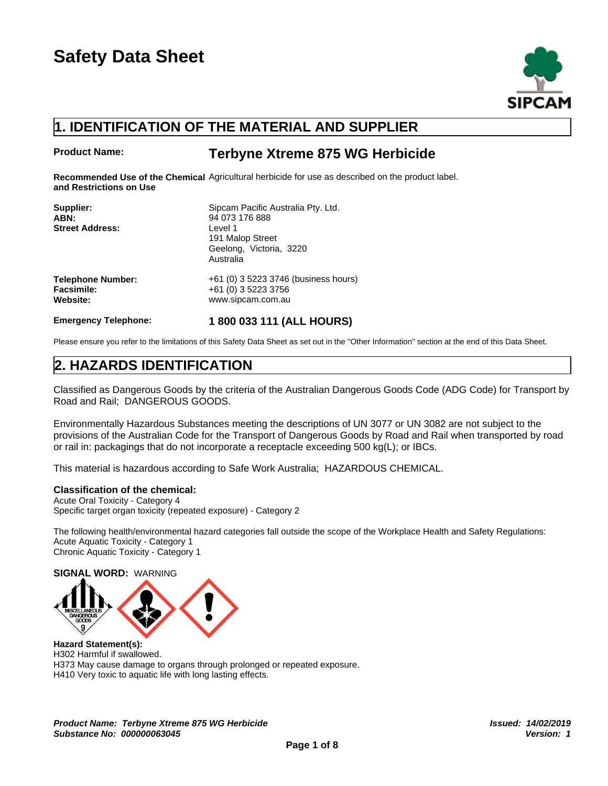

## **1. IDENTIFICATION OF THE MATERIAL AND SUPPLIER**

### **Product Name: Terbyne Xtreme 875 WG Herbicide**

Recommended Use of the Chemical Agricultural herbicide for use as described on the product label. **and Restrictions on Use**

| Supplier:                   | Sipcam Pacific Australia Pty. Ltd.   |
|-----------------------------|--------------------------------------|
| ABN:                        | 94 073 176 888                       |
| <b>Street Address:</b>      | Level 1                              |
|                             | 191 Malop Street                     |
|                             | Geelong, Victoria, 3220              |
|                             | Australia                            |
| <b>Telephone Number:</b>    | +61 (0) 3 5223 3746 (business hours) |
| Facsimile:                  | +61 (0) 3 5223 3756                  |
| Website:                    | www.sipcam.com.au                    |
| <b>Emergency Telephone:</b> | 1800 033 111 (ALL HOURS)             |

Please ensure you refer to the limitations of this Safety Data Sheet as set out in the "Other Information" section at the end of this Data Sheet.

## **2. HAZARDS IDENTIFICATION**

Classified as Dangerous Goods by the criteria of the Australian Dangerous Goods Code (ADG Code) for Transport by Road and Rail; DANGEROUS GOODS.

Environmentally Hazardous Substances meeting the descriptions of UN 3077 or UN 3082 are not subject to the provisions of the Australian Code for the Transport of Dangerous Goods by Road and Rail when transported by road or rail in: packagings that do not incorporate a receptacle exceeding 500 kg(L); or IBCs.

This material is hazardous according to Safe Work Australia; HAZARDOUS CHEMICAL.

#### **Classification of the chemical:**

Acute Oral Toxicity - Category 4 Specific target organ toxicity (repeated exposure) - Category 2

The following health/environmental hazard categories fall outside the scope of the Workplace Health and Safety Regulations: Acute Aquatic Toxicity - Category 1 Chronic Aquatic Toxicity - Category 1

**SIGNAL WORD:** WARNING



**Hazard Statement(s):** H302 Harmful if swallowed. H373 May cause damage to organs through prolonged or repeated exposure. H410 Very toxic to aquatic life with long lasting effects.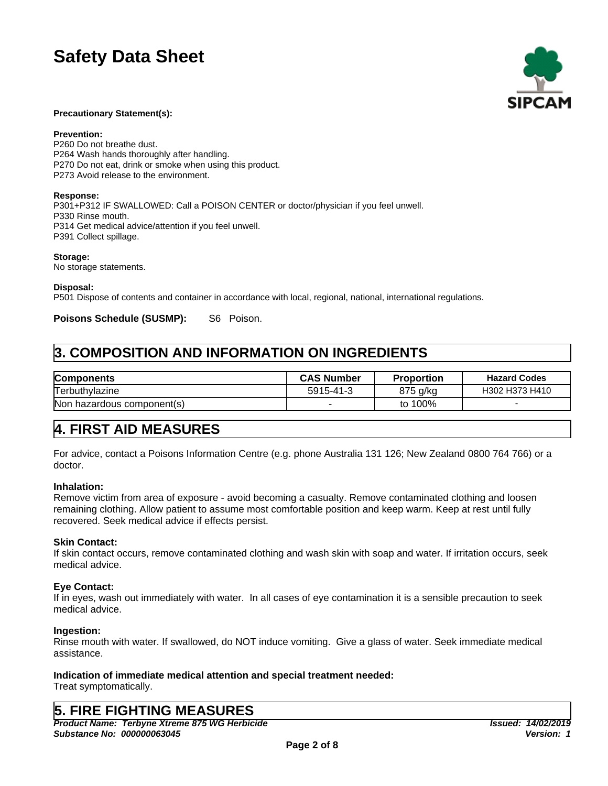

#### **Precautionary Statement(s):**

**Prevention:**

P260 Do not breathe dust. P264 Wash hands thoroughly after handling. P270 Do not eat, drink or smoke when using this product. P273 Avoid release to the environment.

#### **Response:**

P301+P312 IF SWALLOWED: Call a POISON CENTER or doctor/physician if you feel unwell. P330 Rinse mouth. P314 Get medical advice/attention if you feel unwell. P391 Collect spillage.

**Storage:**

No storage statements.

**Disposal:**

P501 Dispose of contents and container in accordance with local, regional, national, international regulations.

Poisons Schedule (SUSMP): S6 Poison.

## **3. COMPOSITION AND INFORMATION ON INGREDIENTS**

| Components                 | <b>CAS Number</b> | <b>Proportion</b> | <b>Hazard Codes</b> |
|----------------------------|-------------------|-------------------|---------------------|
| Terbuthylazine             | 5915-41-3         | 875 g/kg          | H302 H373 H410      |
| Non hazardous component(s) |                   | to 100%           |                     |

## **4. FIRST AID MEASURES**

For advice, contact a Poisons Information Centre (e.g. phone Australia 131 126; New Zealand 0800 764 766) or a doctor.

### **Inhalation:**

Remove victim from area of exposure - avoid becoming a casualty. Remove contaminated clothing and loosen remaining clothing. Allow patient to assume most comfortable position and keep warm. Keep at rest until fully recovered. Seek medical advice if effects persist.

### **Skin Contact:**

If skin contact occurs, remove contaminated clothing and wash skin with soap and water. If irritation occurs, seek medical advice.

### **Eye Contact:**

If in eyes, wash out immediately with water. In all cases of eye contamination it is a sensible precaution to seek medical advice.

### **Ingestion:**

Rinse mouth with water. If swallowed, do NOT induce vomiting. Give a glass of water. Seek immediate medical assistance.

### **Indication of immediate medical attention and special treatment needed:**

Treat symptomatically.

## **5. FIRE FIGHTING MEASURES**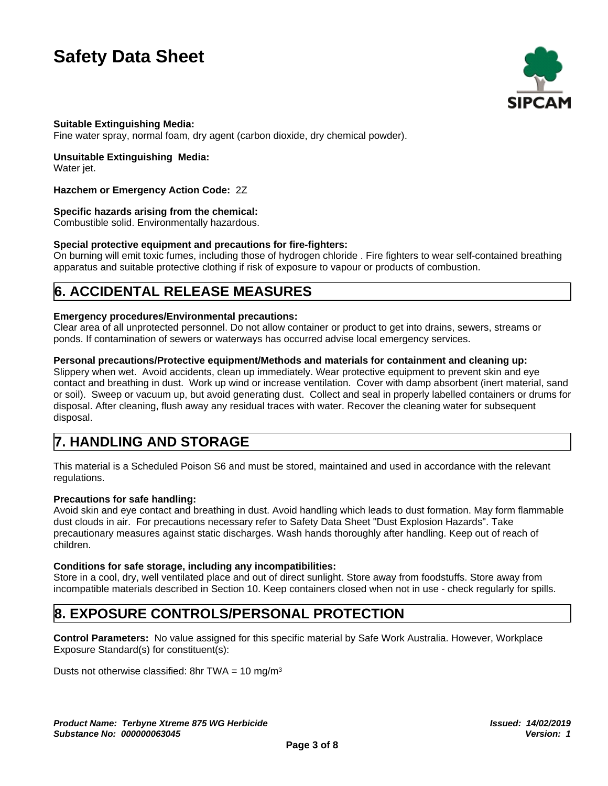

### **Suitable Extinguishing Media:**

Fine water spray, normal foam, dry agent (carbon dioxide, dry chemical powder).

### **Unsuitable Extinguishing Media:**

Water jet.

### **Hazchem or Emergency Action Code:** 2Z

### **Specific hazards arising from the chemical:**

Combustible solid. Environmentally hazardous.

### **Special protective equipment and precautions for fire-fighters:**

On burning will emit toxic fumes, including those of hydrogen chloride . Fire fighters to wear self-contained breathing apparatus and suitable protective clothing if risk of exposure to vapour or products of combustion.

## **6. ACCIDENTAL RELEASE MEASURES**

### **Emergency procedures/Environmental precautions:**

Clear area of all unprotected personnel. Do not allow container or product to get into drains, sewers, streams or ponds. If contamination of sewers or waterways has occurred advise local emergency services.

### **Personal precautions/Protective equipment/Methods and materials for containment and cleaning up:**

Slippery when wet. Avoid accidents, clean up immediately. Wear protective equipment to prevent skin and eye contact and breathing in dust. Work up wind or increase ventilation. Cover with damp absorbent (inert material, sand or soil). Sweep or vacuum up, but avoid generating dust. Collect and seal in properly labelled containers or drums for disposal. After cleaning, flush away any residual traces with water. Recover the cleaning water for subsequent disposal.

## **7. HANDLING AND STORAGE**

This material is a Scheduled Poison S6 and must be stored, maintained and used in accordance with the relevant regulations.

### **Precautions for safe handling:**

Avoid skin and eye contact and breathing in dust. Avoid handling which leads to dust formation. May form flammable dust clouds in air. For precautions necessary refer to Safety Data Sheet "Dust Explosion Hazards". Take precautionary measures against static discharges. Wash hands thoroughly after handling. Keep out of reach of children.

### **Conditions for safe storage, including any incompatibilities:**

Store in a cool, dry, well ventilated place and out of direct sunlight. Store away from foodstuffs. Store away from incompatible materials described in Section 10. Keep containers closed when not in use - check regularly for spills.

## **8. EXPOSURE CONTROLS/PERSONAL PROTECTION**

**Control Parameters:** No value assigned for this specific material by Safe Work Australia. However, Workplace Exposure Standard(s) for constituent(s):

Dusts not otherwise classified: 8hr TWA =  $10 \text{ mg/m}^3$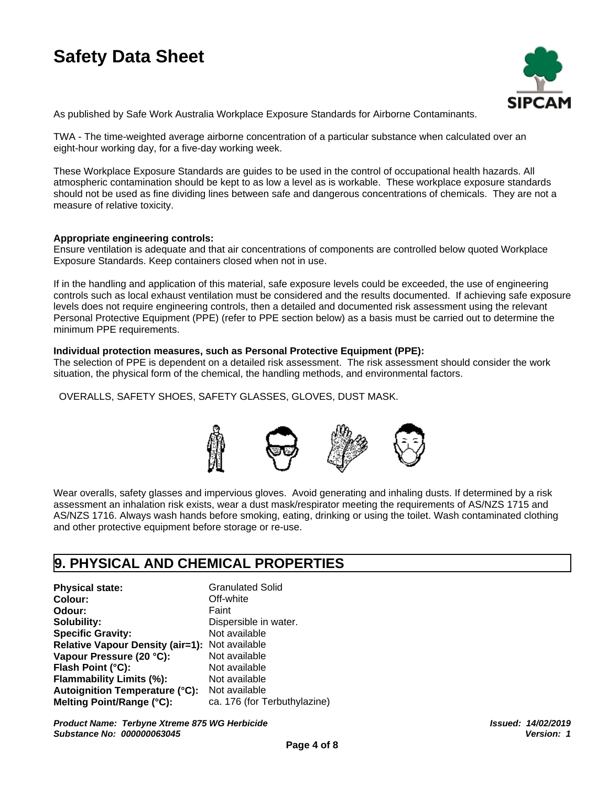

As published by Safe Work Australia Workplace Exposure Standards for Airborne Contaminants.

TWA - The time-weighted average airborne concentration of a particular substance when calculated over an eight-hour working day, for a five-day working week.

These Workplace Exposure Standards are guides to be used in the control of occupational health hazards. All atmospheric contamination should be kept to as low a level as is workable. These workplace exposure standards should not be used as fine dividing lines between safe and dangerous concentrations of chemicals. They are not a measure of relative toxicity.

### **Appropriate engineering controls:**

Ensure ventilation is adequate and that air concentrations of components are controlled below quoted Workplace Exposure Standards. Keep containers closed when not in use.

If in the handling and application of this material, safe exposure levels could be exceeded, the use of engineering controls such as local exhaust ventilation must be considered and the results documented. If achieving safe exposure levels does not require engineering controls, then a detailed and documented risk assessment using the relevant Personal Protective Equipment (PPE) (refer to PPE section below) as a basis must be carried out to determine the minimum PPE requirements.

#### **Individual protection measures, such as Personal Protective Equipment (PPE):**

The selection of PPE is dependent on a detailed risk assessment. The risk assessment should consider the work situation, the physical form of the chemical, the handling methods, and environmental factors.

OVERALLS, SAFETY SHOES, SAFETY GLASSES, GLOVES, DUST MASK.



Wear overalls, safety glasses and impervious gloves. Avoid generating and inhaling dusts. If determined by a risk assessment an inhalation risk exists, wear a dust mask/respirator meeting the requirements of AS/NZS 1715 and AS/NZS 1716. Always wash hands before smoking, eating, drinking or using the toilet. Wash contaminated clothing and other protective equipment before storage or re-use.

### **9. PHYSICAL AND CHEMICAL PROPERTIES**

**Physical state:** Granulated Solid **Colour:** Off-white **Odour:** Faint **Solubility:** Dispersible in water.<br> **Specific Gravity:** Not available **Specific Gravity: Relative Vapour Density (air=1):** Not available **Vapour Pressure (20 °C):** Not available **Flash Point (°C):** Not available **Flammability Limits (%):** Not available **Autoignition Temperature (°C):** Not available **Melting Point/Range (°C):** ca. 176 (for Terbuthylazine)

*Product Name: Terbyne Xtreme 875 WG Herbicide Substance No: 000000063045*

*Issued: 14/02/2019 Version: 1*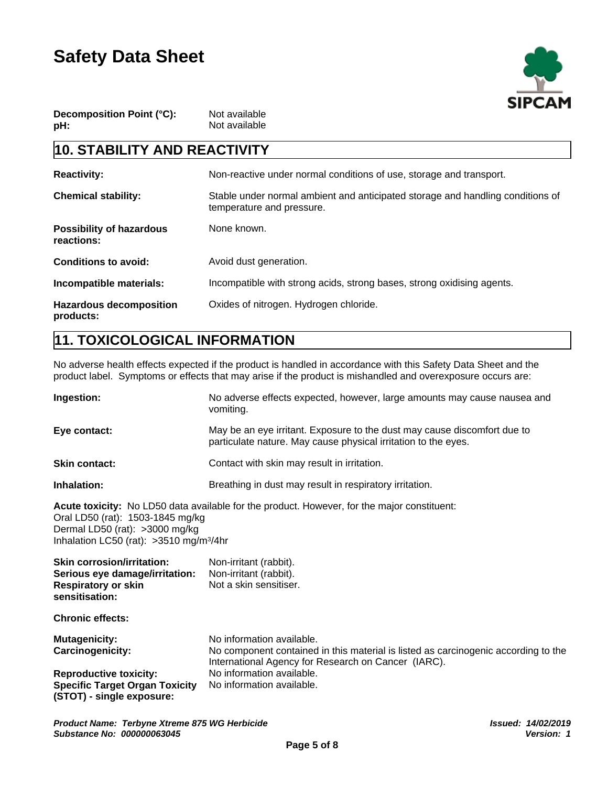

| Decomposition Point (°C): | Not available |
|---------------------------|---------------|
| pH:                       | Not available |

## **10. STABILITY AND REACTIVITY**

| <b>Reactivity:</b>                            | Non-reactive under normal conditions of use, storage and transport.                                         |
|-----------------------------------------------|-------------------------------------------------------------------------------------------------------------|
| <b>Chemical stability:</b>                    | Stable under normal ambient and anticipated storage and handling conditions of<br>temperature and pressure. |
| <b>Possibility of hazardous</b><br>reactions: | None known.                                                                                                 |
| <b>Conditions to avoid:</b>                   | Avoid dust generation.                                                                                      |
| Incompatible materials:                       | Incompatible with strong acids, strong bases, strong oxidising agents.                                      |
| <b>Hazardous decomposition</b><br>products:   | Oxides of nitrogen. Hydrogen chloride.                                                                      |

## **11. TOXICOLOGICAL INFORMATION**

No adverse health effects expected if the product is handled in accordance with this Safety Data Sheet and the product label. Symptoms or effects that may arise if the product is mishandled and overexposure occurs are:

| Ingestion:                                                                                                                 | No adverse effects expected, however, large amounts may cause nausea and<br>vomiting.                                                                                  |
|----------------------------------------------------------------------------------------------------------------------------|------------------------------------------------------------------------------------------------------------------------------------------------------------------------|
| Eye contact:                                                                                                               | May be an eye irritant. Exposure to the dust may cause discomfort due to<br>particulate nature. May cause physical irritation to the eyes.                             |
| <b>Skin contact:</b>                                                                                                       | Contact with skin may result in irritation.                                                                                                                            |
| Inhalation:                                                                                                                | Breathing in dust may result in respiratory irritation.                                                                                                                |
| Oral LD50 (rat): 1503-1845 mg/kg<br>Dermal LD50 (rat): >3000 mg/kg<br>Inhalation LC50 (rat): > 3510 mg/m <sup>3</sup> /4hr | Acute toxicity: No LD50 data available for the product. However, for the major constituent:                                                                            |
| <b>Skin corrosion/irritation:</b><br>Serious eye damage/irritation:<br><b>Respiratory or skin</b><br>sensitisation:        | Non-irritant (rabbit).<br>Non-irritant (rabbit).<br>Not a skin sensitiser.                                                                                             |
| <b>Chronic effects:</b>                                                                                                    |                                                                                                                                                                        |
| <b>Mutagenicity:</b><br><b>Carcinogenicity:</b>                                                                            | No information available.<br>No component contained in this material is listed as carcinogenic according to the<br>International Agency for Research on Cancer (IARC). |
| <b>Reproductive toxicity:</b><br><b>Specific Target Organ Toxicity</b><br>(STOT) - single exposure:                        | No information available.<br>No information available.                                                                                                                 |
|                                                                                                                            |                                                                                                                                                                        |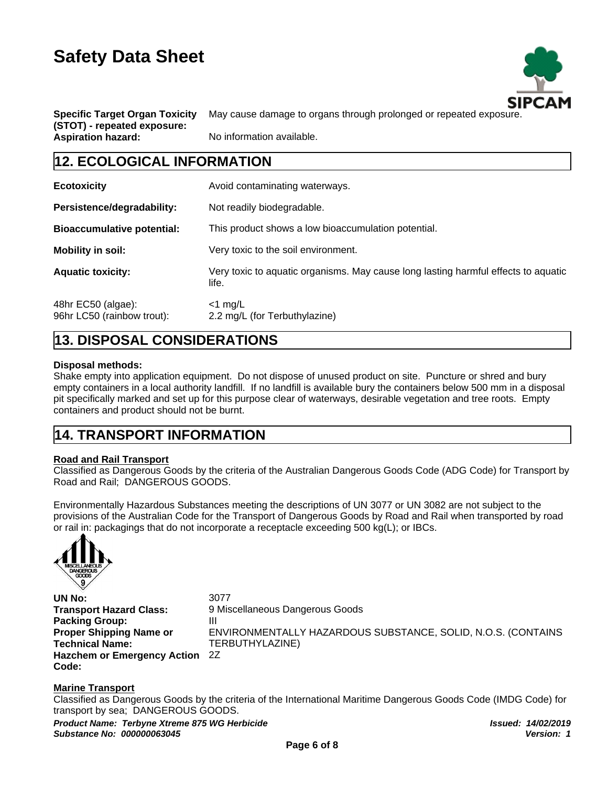

**Specific Target Organ Toxicity (STOT) - repeated exposure:**

May cause damage to organs through prolonged or repeated exposure.

**Aspiration hazard:** No information available.

### **12. ECOLOGICAL INFORMATION**

| <b>Ecotoxicity</b>                               | Avoid contaminating waterways.                                                              |
|--------------------------------------------------|---------------------------------------------------------------------------------------------|
| Persistence/degradability:                       | Not readily biodegradable.                                                                  |
| <b>Bioaccumulative potential:</b>                | This product shows a low bioaccumulation potential.                                         |
| <b>Mobility in soil:</b>                         | Very toxic to the soil environment.                                                         |
| <b>Aquatic toxicity:</b>                         | Very toxic to aquatic organisms. May cause long lasting harmful effects to aquatic<br>life. |
| 48hr EC50 (algae):<br>96hr LC50 (rainbow trout): | $<$ 1 mg/L<br>2.2 mg/L (for Terbuthylazine)                                                 |

## **13. DISPOSAL CONSIDERATIONS**

### **Disposal methods:**

Shake empty into application equipment. Do not dispose of unused product on site. Puncture or shred and bury empty containers in a local authority landfill. If no landfill is available bury the containers below 500 mm in a disposal pit specifically marked and set up for this purpose clear of waterways, desirable vegetation and tree roots. Empty containers and product should not be burnt.

## **14. TRANSPORT INFORMATION**

### **Road and Rail Transport**

Classified as Dangerous Goods by the criteria of the Australian Dangerous Goods Code (ADG Code) for Transport by Road and Rail; DANGEROUS GOODS.

Environmentally Hazardous Substances meeting the descriptions of UN 3077 or UN 3082 are not subject to the provisions of the Australian Code for the Transport of Dangerous Goods by Road and Rail when transported by road or rail in: packagings that do not incorporate a receptacle exceeding 500 kg(L); or IBCs.



**UN No:** 3077 **Packing Group:** III **Proper Shipping Name or Technical Name: Hazchem or Emergency Action Code:**

**Transport Hazard Class:** 9 Miscellaneous Dangerous Goods ENVIRONMENTALLY HAZARDOUS SUBSTANCE, SOLID, N.O.S. (CONTAINS TERBUTHYLAZINE) 2Z

### **Marine Transport**

Classified as Dangerous Goods by the criteria of the International Maritime Dangerous Goods Code (IMDG Code) for transport by sea; DANGEROUS GOODS.

*Product Name: Terbyne Xtreme 875 WG Herbicide Substance No: 000000063045*

*Issued: 14/02/2019 Version: 1*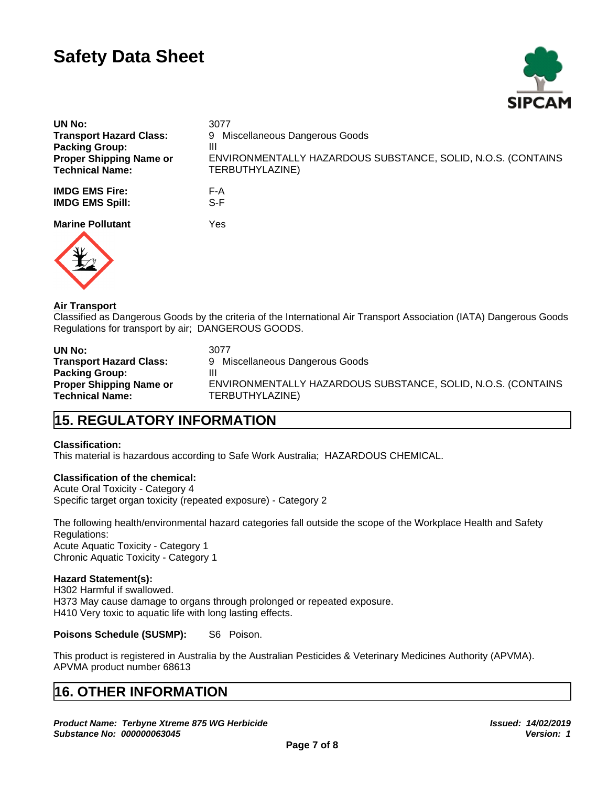

| UN No:                         | 3077                                                         |
|--------------------------------|--------------------------------------------------------------|
| <b>Transport Hazard Class:</b> | 9 Miscellaneous Dangerous Goods                              |
| <b>Packing Group:</b>          | Ш                                                            |
| <b>Proper Shipping Name or</b> | ENVIRONMENTALLY HAZARDOUS SUBSTANCE, SOLID, N.O.S. (CONTAINS |
| <b>Technical Name:</b>         | TERBUTHYLAZINE)                                              |
| <b>IMDG EMS Fire:</b>          | F-A                                                          |
| <b>IMDG EMS Spill:</b>         | S-F                                                          |
|                                |                                                              |
| <b>Marine Pollutant</b>        | Yes                                                          |
|                                |                                                              |



### **Air Transport**

Classified as Dangerous Goods by the criteria of the International Air Transport Association (IATA) Dangerous Goods Regulations for transport by air; DANGEROUS GOODS.

| UN No:                         | 3077                                                         |
|--------------------------------|--------------------------------------------------------------|
| Transport Hazard Class:        | Miscellaneous Dangerous Goods                                |
| <b>Packing Group:</b>          | Ш                                                            |
| <b>Proper Shipping Name or</b> | ENVIRONMENTALLY HAZARDOUS SUBSTANCE, SOLID, N.O.S. (CONTAINS |
| Technical Name:                | TERBUTHYLAZINE)                                              |

## **15. REGULATORY INFORMATION**

### **Classification:**

This material is hazardous according to Safe Work Australia; HAZARDOUS CHEMICAL.

### **Classification of the chemical:**

Acute Oral Toxicity - Category 4 Specific target organ toxicity (repeated exposure) - Category 2

The following health/environmental hazard categories fall outside the scope of the Workplace Health and Safety Regulations: Acute Aquatic Toxicity - Category 1 Chronic Aquatic Toxicity - Category 1

### **Hazard Statement(s):**

H302 Harmful if swallowed. H373 May cause damage to organs through prolonged or repeated exposure. H410 Very toxic to aquatic life with long lasting effects.

#### **Poisons Schedule (SUSMP):** S6 Poison.

This product is registered in Australia by the Australian Pesticides & Veterinary Medicines Authority (APVMA). APVMA product number 68613

## **16. OTHER INFORMATION**

*Product Name: Terbyne Xtreme 875 WG Herbicide Substance No: 000000063045*